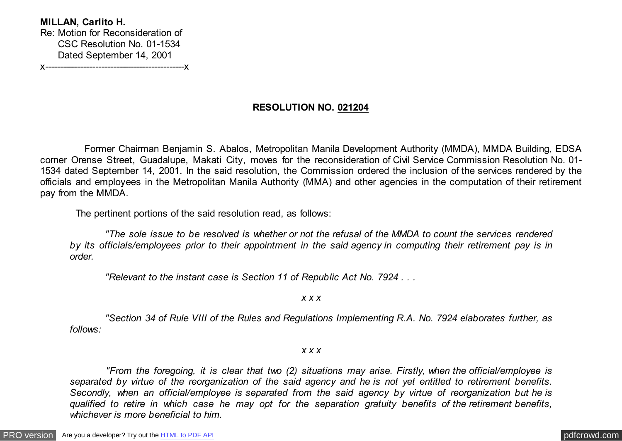**MILLAN, Carlito H.** Re: Motion for Reconsideration of CSC Resolution No. 01-1534 Dated September 14, 2001

x-----------------------------------------------x

# **RESOLUTION NO. 021204**

 Former Chairman Benjamin S. Abalos, Metropolitan Manila Development Authority (MMDA), MMDA Building, EDSA corner Orense Street, Guadalupe, Makati City, moves for the reconsideration of Civil Service Commission Resolution No. 01- 1534 dated September 14, 2001. In the said resolution, the Commission ordered the inclusion of the services rendered by the officials and employees in the Metropolitan Manila Authority (MMA) and other agencies in the computation of their retirement pay from the MMDA.

The pertinent portions of the said resolution read, as follows:

 *"The sole issue to be resolved is whether or not the refusal of the MMDA to count the services rendered by its officials/employees prior to their appointment in the said agency in computing their retirement pay is in order.*

 *"Relevant to the instant case is Section 11 of Republic Act No. 7924 . . .*

*x x x*

 *"Section 34 of Rule VIII of the Rules and Regulations Implementing R.A. No. 7924 elaborates further, as follows:*

*x x x*

 *"From the foregoing, it is clear that two (2) situations may arise. Firstly, when the official/employee is separated by virtue of the reorganization of the said agency and he is not yet entitled to retirement benefits. Secondly, when an official/employee is separated from the said agency by virtue of reorganization but he is qualified to retire in which case he may opt for the separation gratuity benefits of the retirement benefits, whichever is more beneficial to him.*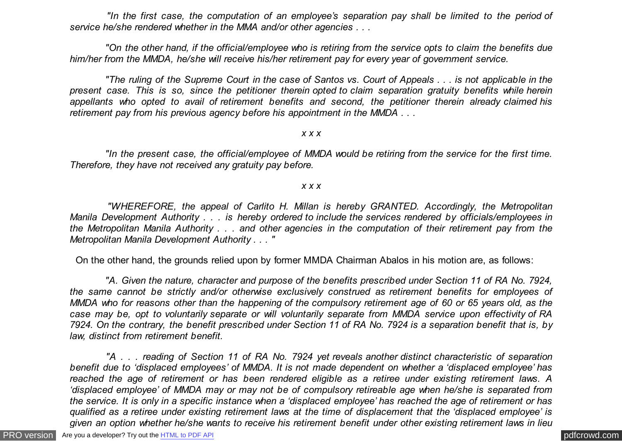*"In the first case, the computation of an employee's separation pay shall be limited to the period of service he/she rendered whether in the MMA and/or other agencies . . .*

 *"On the other hand, if the official/employee who is retiring from the service opts to claim the benefits due him/her from the MMDA, he/she will receive his/her retirement pay for every year of government service.*

 *"The ruling of the Supreme Court in the case of Santos vs. Court of Appeals . . . is not applicable in the present case. This is so, since the petitioner therein opted to claim separation gratuity benefits while herein appellants who opted to avail of retirement benefits and second, the petitioner therein already claimed his retirement pay from his previous agency before his appointment in the MMDA . . .*

#### *x x x*

 *"In the present case, the official/employee of MMDA would be retiring from the service for the first time. Therefore, they have not received any gratuity pay before.*

### *x x x*

 *"WHEREFORE, the appeal of Carlito H. Millan is hereby GRANTED. Accordingly, the Metropolitan Manila Development Authority . . . is hereby ordered to include the services rendered by officials/employees in the Metropolitan Manila Authority . . . and other agencies in the computation of their retirement pay from the Metropolitan Manila Development Authority . . . "*

On the other hand, the grounds relied upon by former MMDA Chairman Abalos in his motion are, as follows:

 *"A. Given the nature, character and purpose of the benefits prescribed under Section 11 of RA No. 7924, the same cannot be strictly and/or otherwise exclusively construed as retirement benefits for employees of MMDA who for reasons other than the happening of the compulsory retirement age of 60 or 65 years old, as the case may be, opt to voluntarily separate or will voluntarily separate from MMDA service upon effectivity of RA 7924. On the contrary, the benefit prescribed under Section 11 of RA No. 7924 is a separation benefit that is, by law, distinct from retirement benefit.*

 *"A . . . reading of Section 11 of RA No. 7924 yet reveals another distinct characteristic of separation benefit due to 'displaced employees' of MMDA. It is not made dependent on whether a 'displaced employee' has reached the age of retirement or has been rendered eligible as a retiree under existing retirement laws. A 'displaced employee' of MMDA may or may not be of compulsory retireable age when he/she is separated from the service. It is only in a specific instance when a 'displaced employee' has reached the age of retirement or has qualified as a retiree under existing retirement laws at the time of displacement that the 'displaced employee' is given an option whether he/she wants to receive his retirement benefit under other existing retirement laws in lieu*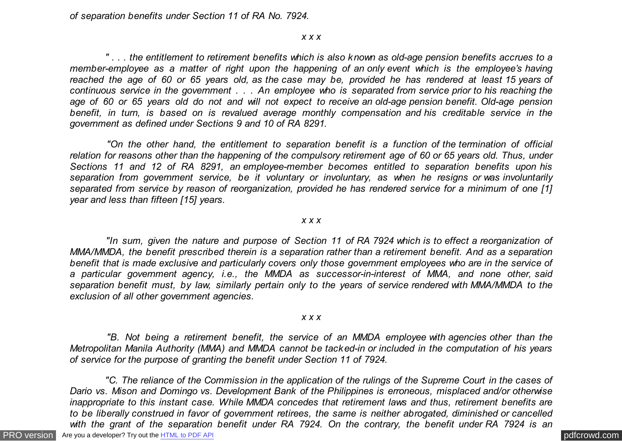#### *x x x*

 *" . . . the entitlement to retirement benefits which is also known as old-age pension benefits accrues to a member-employee as a matter of right upon the happening of an only event which is the employee's having reached the age of 60 or 65 years old, as the case may be, provided he has rendered at least 15 years of continuous service in the government . . . An employee who is separated from service prior to his reaching the age of 60 or 65 years old do not and will not expect to receive an old-age pension benefit. Old-age pension benefit, in turn, is based on is revalued average monthly compensation and his creditable service in the government as defined under Sections 9 and 10 of RA 8291.*

 *"On the other hand, the entitlement to separation benefit is a function of the termination of official relation for reasons other than the happening of the compulsory retirement age of 60 or 65 years old. Thus, under Sections 11 and 12 of RA 8291, an employee-member becomes entitled to separation benefits upon his separation from government service, be it voluntary or involuntary, as when he resigns or was involuntarily separated from service by reason of reorganization, provided he has rendered service for a minimum of one [1] year and less than fifteen [15] years.*

#### *x x x*

 *"In sum, given the nature and purpose of Section 11 of RA 7924 which is to effect a reorganization of MMA/MMDA, the benefit prescribed therein is a separation rather than a retirement benefit. And as a separation benefit that is made exclusive and particularly covers only those government employees who are in the service of a particular government agency, i.e., the MMDA as successor-in-interest of MMA, and none other, said separation benefit must, by law, similarly pertain only to the years of service rendered with MMA/MMDA to the exclusion of all other government agencies.*

#### *x x x*

 *"B. Not being a retirement benefit, the service of an MMDA employee with agencies other than the Metropolitan Manila Authority (MMA) and MMDA cannot be tacked-in or included in the computation of his years of service for the purpose of granting the benefit under Section 11 of 7924.*

[PRO version](http://pdfcrowd.com/customize/) Are you a developer? Try out th[e HTML to PDF API](http://pdfcrowd.com/html-to-pdf-api/?ref=pdf) process and the community of the HTML to PDF API posterior and the ATML to PDF API posterior of the ATML to PDF API posterior and the ATML to PDF API posterior a  *"C. The reliance of the Commission in the application of the rulings of the Supreme Court in the cases of Dario vs. Mison and Domingo vs. Development Bank of the Philippines is erroneous, misplaced and/or otherwise inappropriate to this instant case. While MMDA concedes that retirement laws and thus, retirement benefits are to be liberally construed in favor of government retirees, the same is neither abrogated, diminished or cancelled with the grant of the separation benefit under RA 7924. On the contrary, the benefit under RA 7924 is an*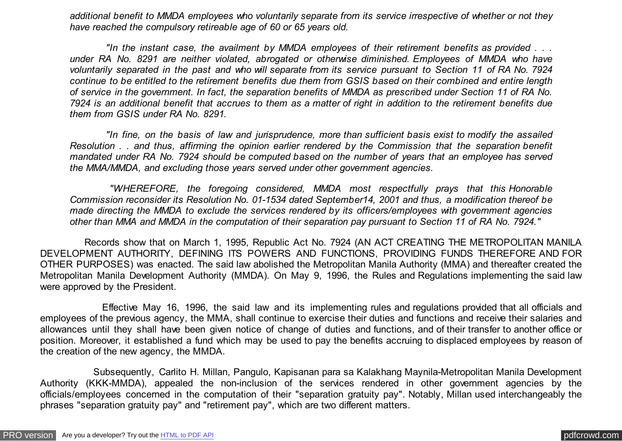*additional benefit to MMDA employees who voluntarily separate from its service irrespective of whether or not they have reached the compulsory retireable age of 60 or 65 years old.*

 *"In the instant case, the availment by MMDA employees of their retirement benefits as provided . . . under RA No. 8291 are neither violated, abrogated or otherwise diminished. Employees of MMDA who have voluntarily separated in the past and who will separate from its service pursuant to Section 11 of RA No. 7924 continue to be entitled to the retirement benefits due them from GSIS based on their combined and entire length of service in the government. In fact, the separation benefits of MMDA as prescribed under Section 11 of RA No. 7924 is an additional benefit that accrues to them as a matter of right in addition to the retirement benefits due them from GSIS under RA No. 8291.*

 *"In fine, on the basis of law and jurisprudence, more than sufficient basis exist to modify the assailed Resolution . . and thus, affirming the opinion earlier rendered by the Commission that the separation benefit mandated under RA No. 7924 should be computed based on the number of years that an employee has served the MMA/MMDA, and excluding those years served under other government agencies.*

 *"WHEREFORE, the foregoing considered, MMDA most respectfully prays that this Honorable Commission reconsider its Resolution No. 01-1534 dated September14, 2001 and thus, a modification thereof be made directing the MMDA to exclude the services rendered by its officers/employees with government agencies other than MMA and MMDA in the computation of their separation pay pursuant to Section 11 of RA No. 7924."*

 Records show that on March 1, 1995, Republic Act No. 7924 (AN ACT CREATING THE METROPOLITAN MANILA DEVELOPMENT AUTHORITY, DEFINING ITS POWERS AND FUNCTIONS, PROVIDING FUNDS THEREFORE AND FOR OTHER PURPOSES) was enacted. The said law abolished the Metropolitan Manila Authority (MMA) and thereafter created the Metropolitan Manila Development Authority (MMDA). On May 9, 1996, the Rules and Regulations implementing the said law were approved by the President.

 Effective May 16, 1996, the said law and its implementing rules and regulations provided that all officials and employees of the previous agency, the MMA, shall continue to exercise their duties and functions and receive their salaries and allowances until they shall have been given notice of change of duties and functions, and of their transfer to another office or position. Moreover, it established a fund which may be used to pay the benefits accruing to displaced employees by reason of the creation of the new agency, the MMDA.

 Subsequently, Carlito H. Millan, Pangulo, Kapisanan para sa Kalakhang Maynila-Metropolitan Manila Development Authority (KKK-MMDA), appealed the non-inclusion of the services rendered in other government agencies by the officials/employees concerned in the computation of their "separation gratuity pay". Notably, Millan used interchangeably the phrases "separation gratuity pay" and "retirement pay", which are two different matters.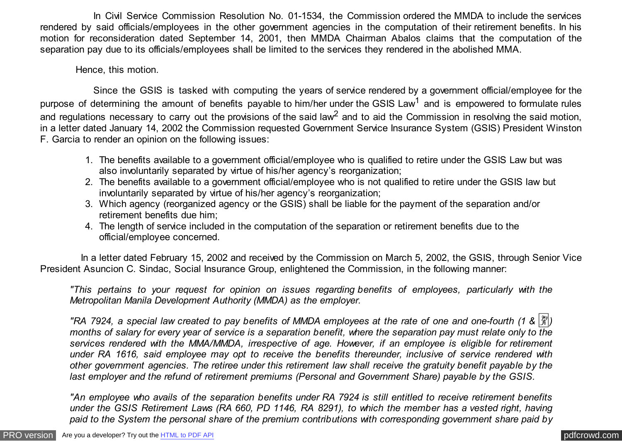In Civil Service Commission Resolution No. 01-1534, the Commission ordered the MMDA to include the services rendered by said officials/employees in the other government agencies in the computation of their retirement benefits. In his motion for reconsideration dated September 14, 2001, then MMDA Chairman Abalos claims that the computation of the separation pay due to its officials/employees shall be limited to the services they rendered in the abolished MMA.

Hence, this motion.

 Since the GSIS is tasked with computing the years of service rendered by a government official/employee for the purpose of determining the amount of benefits payable to him/her under the GSIS Law<sup>1</sup> and is empowered to formulate rules and regulations necessary to carry out the provisions of the said law<sup>2</sup> and to aid the Commission in resolving the said motion, in a letter dated January 14, 2002 the Commission requested Government Service Insurance System (GSIS) President Winston F. Garcia to render an opinion on the following issues:

- 1. The benefits available to a government official/employee who is qualified to retire under the GSIS Law but was also involuntarily separated by virtue of his/her agency's reorganization;
- 2. The benefits available to a government official/employee who is not qualified to retire under the GSIS law but involuntarily separated by virtue of his/her agency's reorganization;
- 3. Which agency (reorganized agency or the GSIS) shall be liable for the payment of the separation and/or retirement benefits due him;
- 4. The length of service included in the computation of the separation or retirement benefits due to the official/employee concerned.

 In a letter dated February 15, 2002 and received by the Commission on March 5, 2002, the GSIS, through Senior Vice President Asuncion C. Sindac, Social Insurance Group, enlightened the Commission, in the following manner:

*"This pertains to your request for opinion on issues regarding benefits of employees, particularly with the Metropolitan Manila Development Authority (MMDA) as the employer.*

"RA 7924, a special law created to pay benefits of MMDA employees at the rate of one and one-fourth (1 &  $\frac{19}{21}$ ) *months of salary for every year of service is a separation benefit, where the separation pay must relate only to the services rendered with the MMA/MMDA, irrespective of age. However, if an employee is eligible for retirement under RA 1616, said employee may opt to receive the benefits thereunder, inclusive of service rendered with other government agencies. The retiree under this retirement law shall receive the gratuity benefit payable by the last employer and the refund of retirement premiums (Personal and Government Share) payable by the GSIS.*

*"An employee who avails of the separation benefits under RA 7924 is still entitled to receive retirement benefits under the GSIS Retirement Laws (RA 660, PD 1146, RA 8291), to which the member has a vested right, having paid to the System the personal share of the premium contributions with corresponding government share paid by*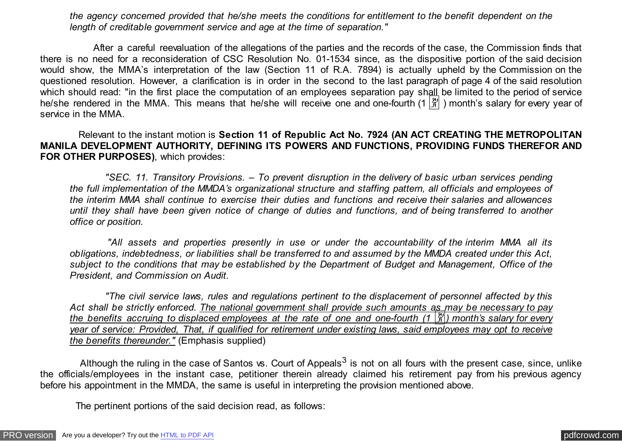*the agency concerned provided that he/she meets the conditions for entitlement to the benefit dependent on the length of creditable government service and age at the time of separation."*

 After a careful reevaluation of the allegations of the parties and the records of the case, the Commission finds that there is no need for a reconsideration of CSC Resolution No. 01-1534 since, as the dispositive portion of the said decision would show, the MMA's interpretation of the law (Section 11 of R.A. 7894) is actually upheld by the Commission on the questioned resolution. However, a clarification is in order in the second to the last paragraph of page 4 of the said resolution which should read: "in the first place the computation of an employees separation pay shall be limited to the period of service he/she rendered in the MMA. This means that he/she will receive one and one-fourth (1  $\frac{24}{11}$ ) month's salary for every year of service in the MMA.

 Relevant to the instant motion is **Section 11 of Republic Act No. 7924 (AN ACT CREATING THE METROPOLITAN MANILA DEVELOPMENT AUTHORITY, DEFINING ITS POWERS AND FUNCTIONS, PROVIDING FUNDS THEREFOR AND FOR OTHER PURPOSES)**, which provides:

 *"SEC. 11. Transitory Provisions. – To prevent disruption in the delivery of basic urban services pending the full implementation of the MMDA's organizational structure and staffing pattern, all officials and employees of the interim MMA shall continue to exercise their duties and functions and receive their salaries and allowances until they shall have been given notice of change of duties and functions, and of being transferred to another office or position.*

 *"All assets and properties presently in use or under the accountability of the interim MMA all its obligations, indebtedness, or liabilities shall be transferred to and assumed by the MMDA created under this Act, subject to the conditions that may be established by the Department of Budget and Management, Office of the President, and Commission on Audit.*

 *"The civil service laws, rules and regulations pertinent to the displacement of personnel affected by this Act shall be strictly enforced. The national government shall provide such amounts as may be necessary to pay the benefits accruing to displaced employees at the rate of one and one-fourth (1* �*) month's salary for every year of service: Provided, That, if qualified for retirement under existing laws, said employees may opt to receive the benefits thereunder."* (Emphasis supplied)

Although the ruling in the case of Santos vs. Court of Appeals<sup>3</sup> is not on all fours with the present case, since, unlike the officials/employees in the instant case, petitioner therein already claimed his retirement pay from his previous agency before his appointment in the MMDA, the same is useful in interpreting the provision mentioned above.

The pertinent portions of the said decision read, as follows: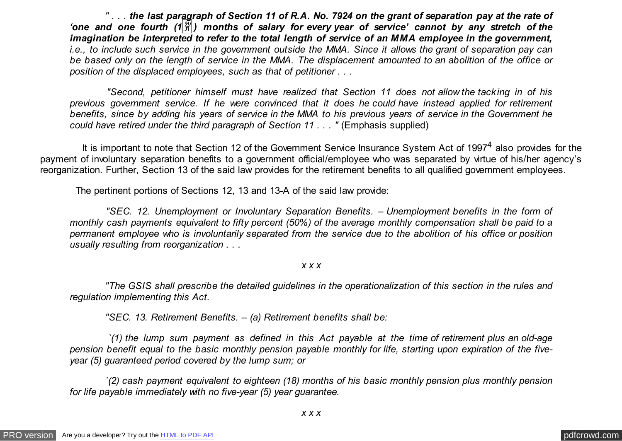*" . . . the last paragraph of Section 11 of R.A. No. 7924 on the grant of separation pay at the rate of 'one and one fourth (1*�*) months of salary for every year of service' cannot by any stretch of the imagination be interpreted to refer to the total length of service of an MMA employee in the government, i.e., to include such service in the government outside the MMA. Since it allows the grant of separation pay can be based only on the length of service in the MMA. The displacement amounted to an abolition of the office or position of the displaced employees, such as that of petitioner . . .*

 *"Second, petitioner himself must have realized that Section 11 does not allow the tacking in of his previous government service. If he were convinced that it does he could have instead applied for retirement benefits, since by adding his years of service in the MMA to his previous years of service in the Government he could have retired under the third paragraph of Section 11 . . . "* (Emphasis supplied)

It is important to note that Section 12 of the Government Service Insurance System Act of 1997<sup>4</sup> also provides for the payment of involuntary separation benefits to a government official/employee who was separated by virtue of his/her agency's reorganization. Further, Section 13 of the said law provides for the retirement benefits to all qualified government employees.

The pertinent portions of Sections 12, 13 and 13-A of the said law provide:

 *"SEC. 12. Unemployment or Involuntary Separation Benefits. – Unemployment benefits in the form of monthly cash payments equivalent to fifty percent (50%) of the average monthly compensation shall be paid to a permanent employee who is involuntarily separated from the service due to the abolition of his office or position usually resulting from reorganization . . .*

# *x x x*

 *"The GSIS shall prescribe the detailed guidelines in the operationalization of this section in the rules and regulation implementing this Act.*

 *"SEC. 13. Retirement Benefits. – (a) Retirement benefits shall be:*

 *`(1) the lump sum payment as defined in this Act payable at the time of retirement plus an old-age pension benefit equal to the basic monthly pension payable monthly for life, starting upon expiration of the fiveyear (5) guaranteed period covered by the lump sum; or*

 *`(2) cash payment equivalent to eighteen (18) months of his basic monthly pension plus monthly pension for life payable immediately with no five-year (5) year guarantee.*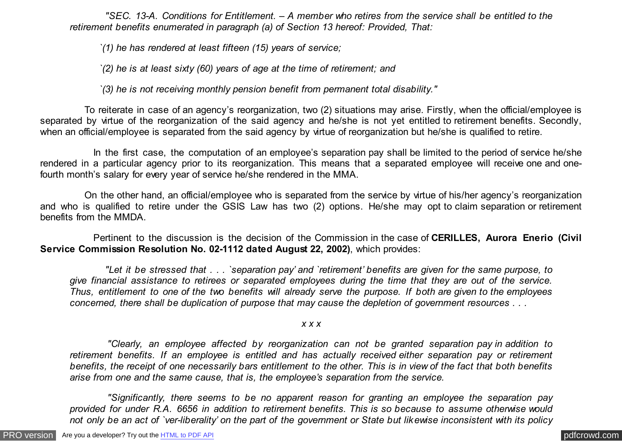*"SEC. 13-A. Conditions for Entitlement. – A member who retires from the service shall be entitled to the retirement benefits enumerated in paragraph (a) of Section 13 hereof: Provided, That:*

*`(1) he has rendered at least fifteen (15) years of service;*

*`(2) he is at least sixty (60) years of age at the time of retirement; and*

*`(3) he is not receiving monthly pension benefit from permanent total disability."*

 To reiterate in case of an agency's reorganization, two (2) situations may arise. Firstly, when the official/employee is separated by virtue of the reorganization of the said agency and he/she is not yet entitled to retirement benefits. Secondly, when an official/employee is separated from the said agency by virtue of reorganization but he/she is qualified to retire.

 In the first case, the computation of an employee's separation pay shall be limited to the period of service he/she rendered in a particular agency prior to its reorganization. This means that a separated employee will receive one and onefourth month's salary for every year of service he/she rendered in the MMA.

 On the other hand, an official/employee who is separated from the service by virtue of his/her agency's reorganization and who is qualified to retire under the GSIS Law has two (2) options. He/she may opt to claim separation or retirement benefits from the MMDA.

 Pertinent to the discussion is the decision of the Commission in the case of **CERILLES, Aurora Enerio (Civil Service Commission Resolution No. 02-1112 dated August 22, 2002)**, which provides:

 *"Let it be stressed that . . . `separation pay' and `retirement' benefits are given for the same purpose, to give financial assistance to retirees or separated employees during the time that they are out of the service. Thus, entitlement to one of the two benefits will already serve the purpose. If both are given to the employees concerned, there shall be duplication of purpose that may cause the depletion of government resources . . .*

### *x x x*

 *"Clearly, an employee affected by reorganization can not be granted separation pay in addition to retirement benefits. If an employee is entitled and has actually received either separation pay or retirement benefits, the receipt of one necessarily bars entitlement to the other. This is in view of the fact that both benefits arise from one and the same cause, that is, the employee's separation from the service.*

 *"Significantly, there seems to be no apparent reason for granting an employee the separation pay provided for under R.A. 6656 in addition to retirement benefits. This is so because to assume otherwise would not only be an act of `ver-liberality' on the part of the government or State but likewise inconsistent with its policy*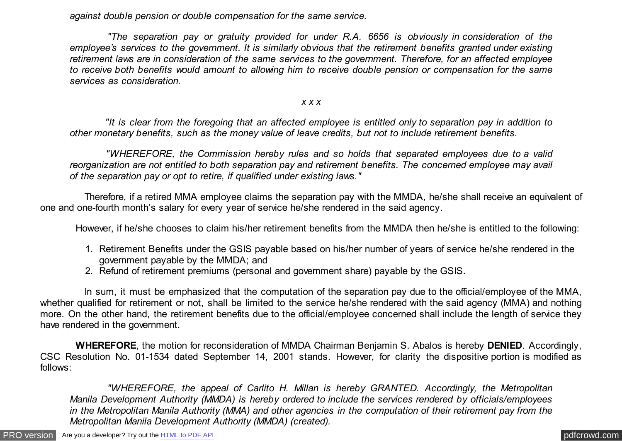*against double pension or double compensation for the same service.*

 *"The separation pay or gratuity provided for under R.A. 6656 is obviously in consideration of the employee's services to the government. It is similarly obvious that the retirement benefits granted under existing retirement laws are in consideration of the same services to the government. Therefore, for an affected employee to receive both benefits would amount to allowing him to receive double pension or compensation for the same services as consideration.*

## *x x x*

 *"It is clear from the foregoing that an affected employee is entitled only to separation pay in addition to other monetary benefits, such as the money value of leave credits, but not to include retirement benefits.*

 *"WHEREFORE, the Commission hereby rules and so holds that separated employees due to a valid reorganization are not entitled to both separation pay and retirement benefits. The concerned employee may avail of the separation pay or opt to retire, if qualified under existing laws."*

 Therefore, if a retired MMA employee claims the separation pay with the MMDA, he/she shall receive an equivalent of one and one-fourth month's salary for every year of service he/she rendered in the said agency.

However, if he/she chooses to claim his/her retirement benefits from the MMDA then he/she is entitled to the following:

- 1. Retirement Benefits under the GSIS payable based on his/her number of years of service he/she rendered in the government payable by the MMDA; and
- 2. Refund of retirement premiums (personal and government share) payable by the GSIS.

In sum, it must be emphasized that the computation of the separation pay due to the official/employee of the MMA, whether qualified for retirement or not, shall be limited to the service he/she rendered with the said agency (MMA) and nothing more. On the other hand, the retirement benefits due to the official/employee concerned shall include the length of service they have rendered in the government.

 **WHEREFORE**, the motion for reconsideration of MMDA Chairman Benjamin S. Abalos is hereby **DENIED**. Accordingly, CSC Resolution No. 01-1534 dated September 14, 2001 stands. However, for clarity the dispositive portion is modified as follows:

 *"WHEREFORE, the appeal of Carlito H. Millan is hereby GRANTED. Accordingly, the Metropolitan Manila Development Authority (MMDA) is hereby ordered to include the services rendered by officials/employees in the Metropolitan Manila Authority (MMA) and other agencies in the computation of their retirement pay from the Metropolitan Manila Development Authority (MMDA) (created).*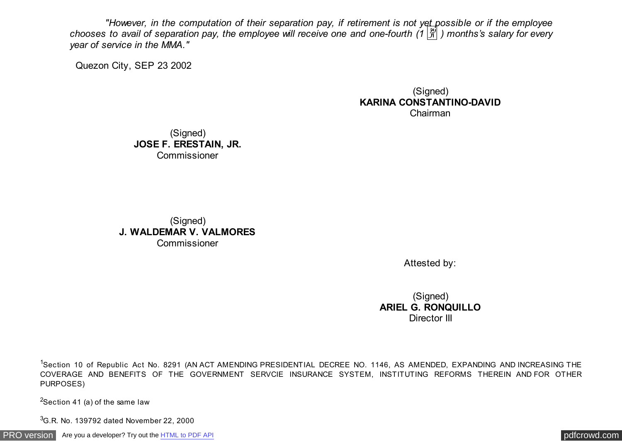*"However, in the computation of their separation pay, if retirement is not yet possible or if the employee chooses to avail of separation pay, the employee will receive one and one-fourth (1* � *) months's salary for every year of service in the MMA."*

Quezon City, SEP 23 2002

(Signed) **KARINA CONSTANTINO-DAVID** Chairman

(Signed) **JOSE F. ERESTAIN, JR.** Commissioner

(Signed) **J. WALDEMAR V. VALMORES Commissioner** 

Attested by:

(Signed) **ARIEL G. RONQUILLO** Director III

<sup>1</sup>Section 10 of Republic Act No. 8291 (AN ACT AMENDING PRESIDENTIAL DECREE NO. 1146, AS AMENDED, EXPANDING AND INCREASING THE COVERAGE AND BENEFITS OF THE GOVERNMENT SERVCIE INSURANCE SYSTEM, INSTITUTING REFORMS THEREIN AND FOR OTHER PURPOSES)

<sup>2</sup>Section 41 (a) of the same law

<sup>3</sup>G.R. No. 139792 dated November 22, 2000

[PRO version](http://pdfcrowd.com/customize/) Are you a developer? Try out th[e HTML to PDF API](http://pdfcrowd.com/html-to-pdf-api/?ref=pdf) contract the CHTML of PDF API [pdfcrowd.com](http://pdfcrowd.com)